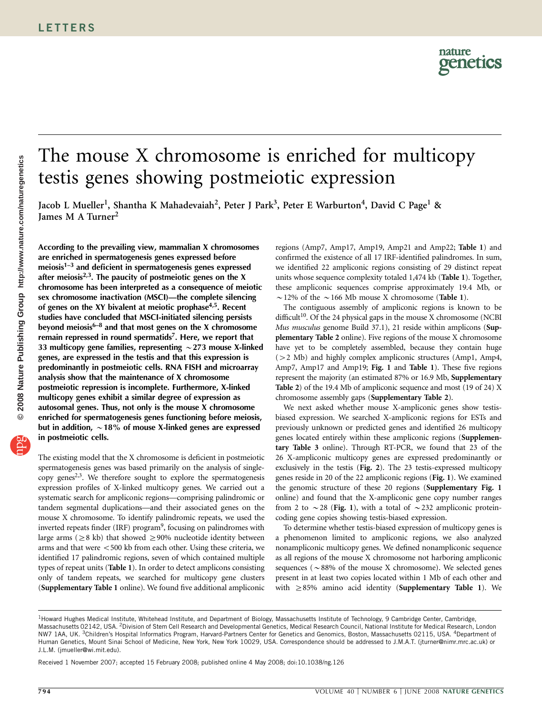## The mouse X chromosome is enriched for multicopy testis genes showing postmeiotic expression

Jacob L Mueller<sup>1</sup>, Shantha K Mahadevaiah<sup>2</sup>, Peter J Park<sup>3</sup>, Peter E Warburton<sup>4</sup>, David C Page<sup>1</sup> & James M A Turner<sup>2</sup>

According to the prevailing view, mammalian X chromosomes are enriched in spermatogenesis genes expressed before meiosis<sup>1-3</sup> and deficient in spermatogenesis genes expressed after meiosis<sup>2,3</sup>. The paucity of postmeiotic genes on the X chromosome has been interpreted as a consequence of meiotic sex chromosome inactivation (MSCI)—the complete silencing of genes on the XY bivalent at meiotic prophase<sup>4,5</sup>. Recent studies have concluded that MSCI-initiated silencing persists beyond meiosis $6-8$  and that most genes on the X chromosome remain repressed in round spermatids<sup>7</sup>. Here, we report that 33 multicopy gene families, representing  $\sim$  273 mouse X-linked genes, are expressed in the testis and that this expression is predominantly in postmeiotic cells. RNA FISH and microarray analysis show that the maintenance of X chromosome postmeiotic repression is incomplete. Furthermore, X-linked multicopy genes exhibit a similar degree of expression as autosomal genes. Thus, not only is the mouse X chromosome enriched for spermatogenesis genes functioning before meiosis, but in addition,  $\sim$  18% of mouse X-linked genes are expressed in postmeiotic cells.

The existing model that the X chromosome is deficient in postmeiotic spermatogenesis genes was based primarily on the analysis of singlecopy genes<sup> $2,3$ </sup>. We therefore sought to explore the spermatogenesis expression profiles of X-linked multicopy genes. We carried out a systematic search for ampliconic regions—comprising palindromic or tandem segmental duplications—and their associated genes on the mouse X chromosome. To identify palindromic repeats, we used the inverted repeats finder (IRF) program<sup>9</sup>, focusing on palindromes with large arms ( $\geq$ 8 kb) that showed  $\geq$ 90% nucleotide identity between arms and that were  $<$  500 kb from each other. Using these criteria, we identified 17 palindromic regions, seven of which contained multiple types of repeat units ([Table 1](#page-1-0)). In order to detect amplicons consisting only of tandem repeats, we searched for multicopy gene clusters (Supplementary Table 1 online). We found five additional ampliconic

regions (Amp7, Amp17, Amp19, Amp21 and Amp22; [Table 1](#page-1-0)) and confirmed the existence of all 17 IRF-identified palindromes. In sum, we identified 22 ampliconic regions consisting of 29 distinct repeat units whose sequence complexity totaled 1,474 kb ([Table 1](#page-1-0)). Together, these ampliconic sequences comprise approximately 19.4 Mb, or  $\sim$  12% of the  $\sim$  166 Mb mouse X chromosome ([Table 1](#page-1-0)).

The contiguous assembly of ampliconic regions is known to be difficult<sup>10</sup>. Of the 24 physical gaps in the mouse X chromosome (NCBI Mus musculus genome Build 37.1), 21 reside within amplicons (Supplementary Table 2 online). Five regions of the mouse X chromosome have yet to be completely assembled, because they contain huge  $(>2$  Mb) and highly complex ampliconic structures (Amp1, Amp4, Amp7, Amp17 and Amp19; [Fig. 1](#page-2-0) and [Table 1](#page-1-0)). These five regions represent the majority (an estimated 87% or 16.9 Mb, Supplementary Table 2) of the 19.4 Mb of ampliconic sequence and most (19 of 24) X chromosome assembly gaps (Supplementary Table 2).

We next asked whether mouse X-ampliconic genes show testisbiased expression. We searched X-ampliconic regions for ESTs and previously unknown or predicted genes and identified 26 multicopy genes located entirely within these ampliconic regions (Supplementary Table 3 online). Through RT-PCR, we found that 23 of the 26 X-ampliconic multicopy genes are expressed predominantly or exclusively in the testis ([Fig. 2](#page-2-0)). The 23 testis-expressed multicopy genes reside in 20 of the 22 ampliconic regions ([Fig. 1](#page-2-0)). We examined the genomic structure of these 20 regions (Supplementary Fig. 1 online) and found that the X-ampliconic gene copy number ranges from 2 to  $\sim$  28 ([Fig. 1](#page-2-0)), with a total of  $\sim$  232 ampliconic proteincoding gene copies showing testis-biased expression.

To determine whether testis-biased expression of multicopy genes is a phenomenon limited to ampliconic regions, we also analyzed nonampliconic multicopy genes. We defined nonampliconic sequence as all regions of the mouse X chromosome not harboring ampliconic sequences ( $\sim$ 88% of the mouse X chromosome). We selected genes present in at least two copies located within 1 Mb of each other and with  $\geq$ 85% amino acid identity (Supplementary Table 1). We

Received 1 November 2007; accepted 15 February 2008; published online 4 May 2008; [doi:10.1038/ng.126](http://www.nature.com/doifinder/10.1038/ng.126)

<sup>&</sup>lt;sup>1</sup>Howard Hughes Medical Institute, Whitehead Institute, and Department of Biology, Massachusetts Institute of Technology, 9 Cambridge Center, Cambridge, Massachusetts 02142, USA. <sup>2</sup>Division of Stem Cell Research and Developmental Genetics, Medical Research Council, National Institute for Medical Research, London NW7 1AA, UK. <sup>3</sup>Children's Hospital Informatics Program, Harvard-Partners Center for Genetics and Genomics, Boston, Massachusetts 02115, USA. <sup>4</sup>Department of Human Genetics, Mount Sinai School of Medicine, New York, New York 10029, USA. Correspondence should be addressed to J.M.A.T. ([jturner@nimr.mrc.ac.uk](mailto:jturner@nimr.mrc.ac.uk)) or J.L.M. ([jmueller@wi.mit.edu](mailto:jmueller@wi.mit.edu)).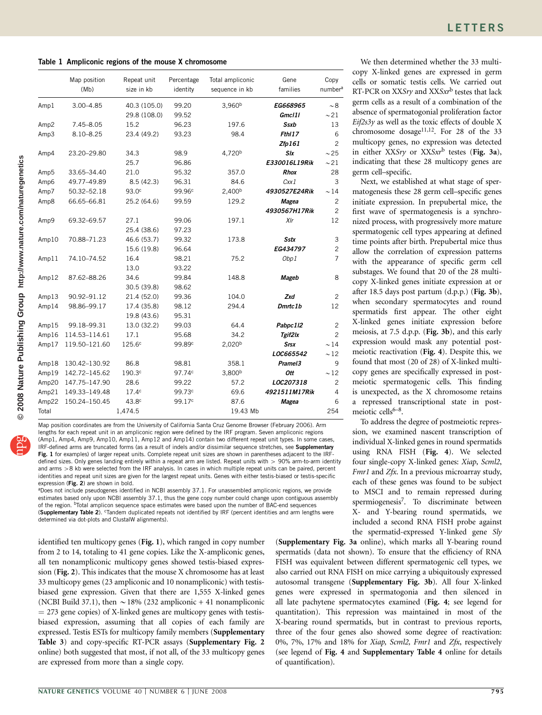<span id="page-1-0"></span>Table 1 Ampliconic regions of the mouse X chromosome

|                  | Map position<br>(Mb) | Repeat unit<br>size in kb | Percentage<br>identity | Total ampliconic<br>sequence in kb | Gene<br>families    | Copy<br>number <sup>a</sup> |
|------------------|----------------------|---------------------------|------------------------|------------------------------------|---------------------|-----------------------------|
| Amp1             | $3.00 - 4.85$        | 40.3 (105.0)              | 99.20                  | 3,960 <sup>b</sup>                 | EG668965            | ~1.8                        |
|                  |                      | 29.8 (108.0)              | 99.52                  |                                    | Gmcl1l              | $\sim$ 21                   |
| Amp <sub>2</sub> | 7.45-8.05            | 15.2                      | 96.23                  | 197.6                              | Ssxb                | 13                          |
| Amp3             | $8.10 - 8.25$        | 23.4 (49.2)               | 93.23                  | 98.4                               | Fth <sub>17</sub>   | 6                           |
|                  |                      |                           |                        |                                    | Zfp161              | $\overline{2}$              |
| Amp4             | 23.20-29.80          | 34.3                      | 98.9                   | 4,720 <sup>b</sup>                 | Slx                 | $\sim$ 25                   |
|                  |                      | 25.7                      | 96.86                  |                                    | E330016L19Rik       | $\sim$ 21                   |
| Amp5             | 33.65-34.40          | 21.0                      | 95.32                  | 357.0                              | <b>Rhox</b>         | 28                          |
| Amp6             | 49.77-49.89          | 8.5(42.3)                 | 96.31                  | 84.6                               | Cxx1                | 3                           |
| Amp7             | 50.32-52.18          | 93.0 <sup>c</sup>         | 99.96 <sup>c</sup>     | 2,400 <sup>b</sup>                 | 4930527E24Rik       | $\sim$ 14                   |
| Amp8             | 66.65-66.81          | 25.2 (64.6)               | 99.59                  | 129.2                              | <b>Magea</b>        | $\overline{c}$              |
|                  |                      |                           |                        |                                    | 4930567H17Rik       | $\overline{c}$              |
| Amp9             | 69.32-69.57          | 27.1                      | 99.06                  | 197.1                              | XIr                 | 12                          |
|                  |                      | 25.4 (38.6)               | 97.23                  |                                    |                     |                             |
| Amp10            | 70.88-71.23          | 46.6 (53.7)               | 99.32                  | 173.8                              | <b>Sstx</b>         | 3                           |
|                  |                      | 15.6 (19.8)               | 96.64                  |                                    | EG434797            | $\overline{c}$              |
| Amp11            | 74.10-74.52          | 16.4                      | 98.21                  | 75.2                               | Obp1                | $\overline{7}$              |
|                  |                      | 13.0                      | 93.22                  |                                    |                     |                             |
| Amp12            | 87.62-88.26          | 34.6                      | 99.84                  | 148.8                              | Mageb               | 8                           |
|                  |                      | 30.5 (39.8)               | 98.62                  |                                    |                     |                             |
| Amp13            | 90.92-91.12          | 21.4 (52.0)               | 99.36                  | 104.0                              | Zxd                 | $\overline{c}$              |
| Amp14            | 98.86-99.17          | 17.4 (35.8)               | 98.12                  | 294.4                              | Dmrtc <sub>1b</sub> | 12                          |
|                  |                      | 19.8 (43.6)               | 95.31                  |                                    |                     |                             |
| Amp15            | 99.18-99.31          | 13.0 (32.2)               | 99.03                  | 64.4                               | Pabpc112            | $\overline{c}$              |
| Amp16            | 114.53-114.61        | 17.1                      | 95.68                  | 34.2                               | Tgif2lx             | $\overline{a}$              |
| Amp17            | 119.50-121.60        | 125.6 <sup>c</sup>        | 99.89 <sup>c</sup>     | 2,020 <sup>b</sup>                 | <b>Srsx</b>         | $\sim$ 14                   |
|                  |                      |                           |                        |                                    | LOC665542           | $\sim$ 12                   |
| Amp18            | 130.42-130.92        | 86.8                      | 98.81                  | 358.1                              | Pramel3             | 9                           |
| Amp19            | 142.72-145.62        | 190.3 <sup>c</sup>        | 97.74 <sup>c</sup>     | 3,800 <sup>b</sup>                 | Ott                 | $\sim$ 12                   |
| Amp20            | 147.75-147.90        | 28.6                      | 99.22                  | 57.2                               | LOC207318           | $\overline{c}$              |
| Amp21            | 149.33-149.48        | 17.4 <sup>c</sup>         | 99.73c                 | 69.6                               | 4921511M17Rik       | 4                           |
| Amp22            | 150.24-150.45        | 43.8 <sup>c</sup>         | 99.17 <sup>c</sup>     | 87.6                               | Magea               | 6                           |
| Total            |                      | 1,474.5                   |                        | 19.43 Mb                           |                     | 254                         |

© 2008 Nature Publishing Group http://www.nature.com/naturegenetics **© 2008 Nature Publishing Group http://www.nature.com/naturegenetics**

Map position coordinates are from the University of California Santa Cruz Genome Browser (February 2006). Arm lengths for each repeat unit in an ampliconic region were defined by the IRF program. Seven ampliconic regions (Amp1, Amp4, Amp9, Amp10, Amp11, Amp12 and Amp14) contain two different repeat unit types. In some cases, IRF-defined arms are truncated forms (as a result of indels and/or dissimilar sequence stretches, see Supplementary Fig. 1 for examples) of larger repeat units. Complete repeat unit sizes are shown in parentheses adjacent to the IRFdefined sizes. Only genes landing entirely within a repeat arm are listed. Repeat units with  $> 90\%$  arm-to-arm identity and arms >8 kb were selected from the IRF analysis. In cases in which multiple repeat units can be paired, percent identities and repeat unit sizes are given for the largest repeat units. Genes with either testis-biased or testis-specific expression (Fig. 2) are shown in bold.

aDoes not include pseudogenes identified in NCBI assembly 37.1. For unassembled ampliconic regions, we provide estimates based only upon NCBI assembly 37.1, thus the gene copy number could change upon contiguous assembly of the region. bTotal amplicon sequence space estimates were based upon the number of BAC-end sequences (Supplementary Table 2). <sup>c</sup>Tandem duplicated repeats not identified by IRF (percent identities and arm lengths were determined via dot-plots and ClustalW alignments).

identified ten multicopy genes ([Fig. 1](#page-2-0)), which ranged in copy number from 2 to 14, totaling to 41 gene copies. Like the X-ampliconic genes, all ten nonampliconic multicopy genes showed testis-biased expression ([Fig. 2](#page-2-0)). This indicates that the mouse X chromosome has at least 33 multicopy genes (23 ampliconic and 10 nonampliconic) with testisbiased gene expression. Given that there are 1,555 X-linked genes (NCBI Build 37.1), then  $\sim$  18% (232 ampliconic + 41 nonampliconic  $=$  273 gene copies) of X-linked genes are multicopy genes with testisbiased expression, assuming that all copies of each family are expressed. Testis ESTs for multicopy family members (Supplementary Table 3) and copy-specific RT-PCR assays (Supplementary Fig. 2 online) both suggested that most, if not all, of the 33 multicopy genes are expressed from more than a single copy.

We then determined whether the 33 multicopy X-linked genes are expressed in germ cells or somatic testis cells. We carried out RT-PCR on XXSry and XXSxr<sup>b</sup> testes that lack germ cells as a result of a combination of the absence of spermatogonial proliferation factor  $Eif2s3y$  as well as the toxic effects of double X chromosome dosage<sup>11,12</sup>. For 28 of the 33 multicopy genes, no expression was detected in either XXSry or XXSxr<sup>b</sup> testes ([Fig. 3a](#page-3-0)), indicating that these 28 multicopy genes are germ cell–specific.

Next, we established at what stage of spermatogenesis these 28 germ cell–specific genes initiate expression. In prepubertal mice, the first wave of spermatogenesis is a synchronized process, with progressively more mature spermatogenic cell types appearing at defined time points after birth. Prepubertal mice thus allow the correlation of expression patterns with the appearance of specific germ cell substages. We found that 20 of the 28 multicopy X-linked genes initiate expression at or after 18.5 days post partum (d.p.p.) ([Fig. 3b](#page-3-0)), when secondary spermatocytes and round spermatids first appear. The other eight X-linked genes initiate expression before meiosis, at 7.5 d.p.p. ([Fig. 3b](#page-3-0)), and this early expression would mask any potential postmeiotic reactivation ([Fig. 4](#page-3-0)). Despite this, we found that most (20 of 28) of X-linked multicopy genes are specifically expressed in postmeiotic spermatogenic cells. This finding is unexpected, as the X chromosome retains a repressed transcriptional state in postmeiotic cells $6-8$ .

To address the degree of postmeiotic repression, we examined nascent transcription of individual X-linked genes in round spermatids using RNA FISH ([Fig. 4](#page-3-0)). We selected four single-copy X-linked genes: Xiap, Scml2, Fmr1 and Zfx. In a previous microarray study, each of these genes was found to be subject to MSCI and to remain repressed during spermiogenesis[7.](#page-5-0) To discriminate between X- and Y-bearing round spermatids, we included a second RNA FISH probe against the spermatid-expressed Y-linked gene Sly

(Supplementary Fig. 3a online), which marks all Y-bearing round spermatids (data not shown). To ensure that the efficiency of RNA FISH was equivalent between different spermatogenic cell types, we also carried out RNA FISH on mice carrying a ubiquitously expressed autosomal transgene (Supplementary Fig. 3b). All four X-linked genes were expressed in spermatogonia and then silenced in all late pachytene spermatocytes examined ([Fig. 4](#page-3-0); see legend for quantitation). This repression was maintained in most of the X-bearing round spermatids, but in contrast to previous reports, three of the four genes also showed some degree of reactivation: 0%, 7%, 17% and 18% for Xiap, Scml2, Fmr1 and Zfx, respectively (see legend of [Fig. 4](#page-3-0) and Supplementary Table 4 online for details of quantification).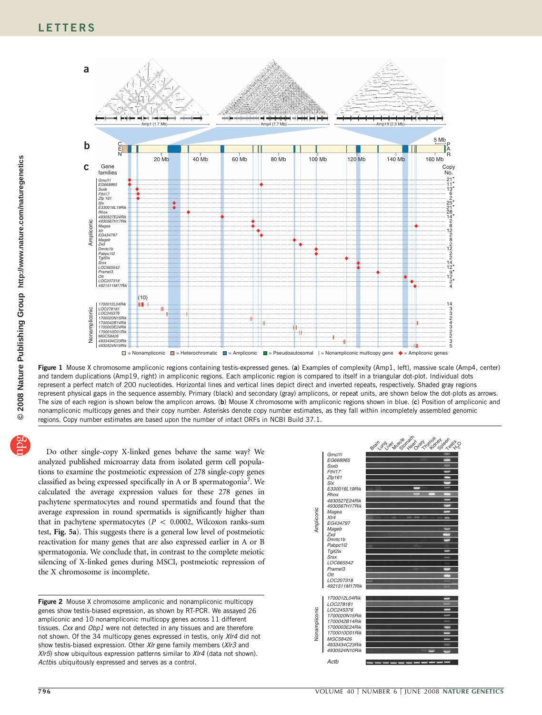<span id="page-2-0"></span>

Figure 1 Mouse X chromosome ampliconic regions containing testis-expressed genes. (a) Examples of complexity (Amp1, left), massive scale (Amp4, center) and tandem duplications (Amp19, right) in ampliconic regions. Each ampliconic region is compared to itself in a triangular dot-plot. Individual dots represent a perfect match of 200 nucleotides. Horizontal lines and vertical lines depict direct and inverted repeats, respectively. Shaded gray regions represent physical gaps in the sequence assembly. Primary (black) and secondary (gray) amplicons, or repeat units, are shown below the dot-plots as arrows. The size of each region is shown below the amplicon arrows. (b) Mouse X chromosome with ampliconic regions shown in blue. (c) Position of ampliconic and nonampliconic multicopy genes and their copy number. Asterisks denote copy number estimates, as they fall within incompletely assembled genomic regions. Copy number estimates are based upon the number of intact ORFs in NCBI Build 37.1.

Do other single-copy X-linked genes behave the same way? We analyzed published microarray data from isolated germ cell populations to examine the postmeiotic expression of 278 single-copy genes classified as being expressed specifically in A or B spermatogonia<sup>7</sup>. We calculated the average expression values for these 278 genes in pachytene spermatocytes and round spermatids and found that the average expression in round spermatids is significantly higher than that in pachytene spermatocytes ( $P < 0.0002$ , Wilcoxon ranks-sum test, [Fig. 5a](#page-4-0)). This suggests there is a general low level of postmeiotic reactivation for many genes that are also expressed earlier in A or B spermatogonia. We conclude that, in contrast to the complete meiotic silencing of X-linked genes during MSCI, postmeiotic repression of the X chromosome is incomplete.

Figure 2 Mouse X chromosome ampliconic and nonampliconic multicopy genes show testis-biased expression, as shown by RT-PCR. We assayed 26 ampliconic and 10 nonampliconic multicopy genes across 11 different tissues. Cxx and Obp1 were not detected in any tissues and are therefore not shown. Of the 34 multicopy genes expressed in testis, only Xlr4 did not show testis-biased expression. Other XIr gene family members (XIr3 and  $XIr5$ ) show ubiquitous expression patterns similar to  $XIr4$  (data not shown). Actbis ubiquitously expressed and serves as a control.

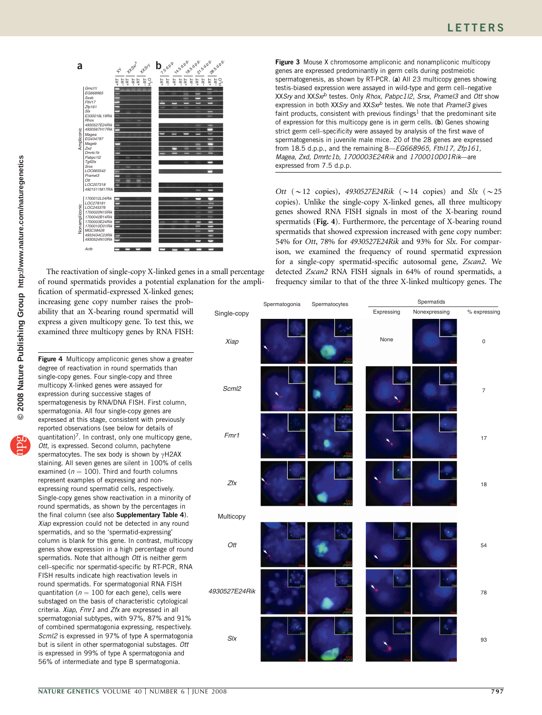<span id="page-3-0"></span>

The reactivation of single-copy X-linked genes in a small percentage of round spermatids provides a potential explanation for the ampli-

fication of spermatid-expressed X-linked genes; increasing gene copy number raises the probability that an X-bearing round spermatid will express a given multicopy gene. To test this, we examined three multicopy genes by RNA FISH:

Figure 4 Multicopy ampliconic genes show a greater degree of reactivation in round spermatids than single-copy genes. Four single-copy and three multicopy X-linked genes were assayed for expression during successive stages of spermatogenesis by RNA/DNA FISH. First column, spermatogonia. All four single-copy genes are expressed at this stage, consistent with previously reported observations (see below for details of quantitation)<sup>[7](#page-5-0)</sup>. In contrast, only one multicopy gene, Ott, is expressed. Second column, pachytene spermatocytes. The sex body is shown by  $\gamma$ H2AX staining. All seven genes are silent in 100% of cells examined ( $n = 100$ ). Third and fourth columns represent examples of expressing and nonexpressing round spermatid cells, respectively. Single-copy genes show reactivation in a minority of round spermatids, as shown by the percentages in the final column (see also Supplementary Table 4). Xiap expression could not be detected in any round spermatids, and so the 'spermatid-expressing' column is blank for this gene. In contrast, multicopy genes show expression in a high percentage of round spermatids. Note that although Ott is neither germ cell–specific nor spermatid-specific by RT-PCR, RNA FISH results indicate high reactivation levels in round spermatids. For spermatogonial RNA FISH quantitation ( $n = 100$  for each gene), cells were substaged on the basis of characteristic cytological criteria. Xiap, Fmr1 and Zfx are expressed in all spermatogonial subtypes, with 97%, 87% and 91% of combined spermatogonia expressing, respectively. ScmI2 is expressed in 97% of type A spermatogonia but is silent in other spermatogonial substages. Ott is expressed in 99% of type A spermatogonia and 56% of intermediate and type B spermatogonia.

Figure 3 Mouse X chromosome ampliconic and nonampliconic multicopy genes are expressed predominantly in germ cells during postmeiotic spermatogenesis, as shown by RT-PCR. (a) All 23 multicopy genes showing testis-biased expression were assayed in wild-type and germ cell–negative XXSry and XXSxrb testes. Only Rhox, Pabpc1l2, Srsx, Pramel3 and Ott show expression in both XXSry and XXS $x^b$  testes. We note that Pramel3 gives faint products, consistent with previous findings<sup>1</sup> that the predominant site of expression for this multicopy gene is in germ cells. (b) Genes showing strict germ cell–specificity were assayed by analysis of the first wave of spermatogenesis in juvenile male mice. 20 of the 28 genes are expressed from 18.5 d.p.p., and the remaining 8—EG668965, Fthl17, Zfp161, Magea, Zxd, Dmrtc1b, 1700003E24Rik and 1700010D01Rik—are expressed from 7.5 d.p.p.

Ott ( $\sim$  12 copies), 4930527E24Rik ( $\sim$  14 copies) and Slx ( $\sim$  25 copies). Unlike the single-copy X-linked genes, all three multicopy genes showed RNA FISH signals in most of the X-bearing round spermatids (Fig. 4). Furthermore, the percentage of X-bearing round spermatids that showed expression increased with gene copy number: 54% for Ott, 78% for 4930527E24Rik and 93% for Slx. For comparison, we examined the frequency of round spermatid expression for a single-copy spermatid-specific autosomal gene, Zscan2. We detected Zscan2 RNA FISH signals in 64% of round spermatids, a frequency similar to that of the three X-linked multicopy genes. The

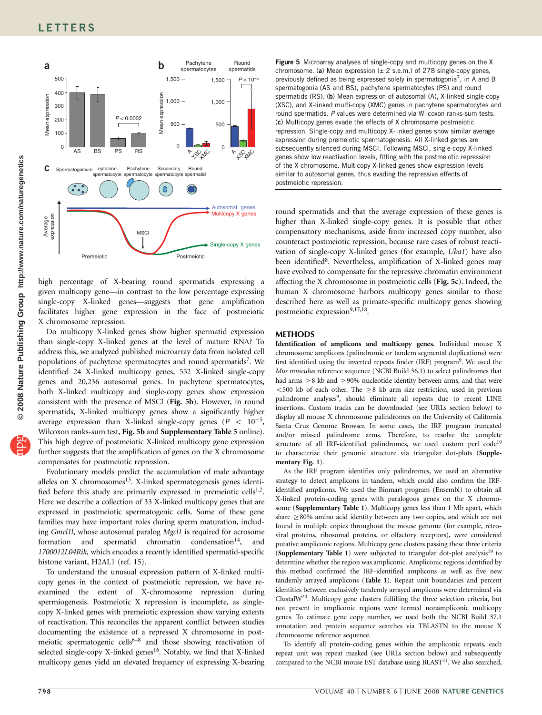<span id="page-4-0"></span>

high percentage of X-bearing round spermatids expressing a given multicopy gene—in contrast to the low percentage expressing single-copy X-linked genes—suggests that gene amplification facilitates higher gene expression in the face of postmeiotic X chromosome repression.

Do multicopy X-linked genes show higher spermatid expression than single-copy X-linked genes at the level of mature RNA? To address this, we analyzed published microarray data from isolated cell populations of pachytene spermatocytes and round spermatids<sup>7</sup>. We identified 24 X-linked multicopy genes, 552 X-linked single-copy genes and 20,236 autosomal genes. In pachytene spermatocytes, both X-linked multicopy and single-copy genes show expression consistent with the presence of MSCI (Fig. 5b). However, in round spermatids, X-linked multicopy genes show a significantly higher average expression than X-linked single-copy genes ( $P < 10^{-5}$ , Wilcoxon ranks-sum test, Fig. 5b and Supplementary Table 5 online). This high degree of postmeiotic X-linked multicopy gene expression further suggests that the amplification of genes on the X chromosome compensates for postmeiotic repression.

Evolutionary models predict the accumulation of male advantage alleles on  $X$  chromosomes<sup>13</sup>. X-linked spermatogenesis genes identified before this study are primarily expressed in premeiotic cells<sup>1,2</sup>. Here we describe a collection of 33 X-linked multicopy genes that are expressed in postmeiotic spermatogenic cells. Some of these gene families may have important roles during sperm maturation, including Gmcl1l, whose autosomal paralog Mgcl1 is required for acrosome formation and spermatid chromatin condensation $14$ , and 1700012L04Rik, which encodes a recently identified spermatid-specific histone variant, H2AL1 (ref. 15).

To understand the unusual expression pattern of X-linked multicopy genes in the context of postmeiotic repression, we have reexamined the extent of X-chromosome repression during spermiogenesis. Postmeiotic X repression is incomplete, as singlecopy X-linked genes with premeiotic expression show varying extents of reactivation. This reconciles the apparent conflict between studies documenting the existence of a repressed X chromosome in post-meiotic spermatogenic cells<sup>[6–8](#page-5-0)</sup> and those showing reactivation of selected single-copy X-linked genes<sup>16</sup>. Notably, we find that X-linked multicopy genes yield an elevated frequency of expressing X-bearing

Figure 5 Microarray analyses of single-copy and multicopy genes on the X chromosome. (a) Mean expression  $(\pm 2 \text{ s.e.m.})$  of 278 single-copy genes, previously defined as being expressed solely in spermatogonia<sup>7</sup>, in A and B spermatogonia (AS and BS), pachytene spermatocytes (PS) and round spermatids (RS). (b) Mean expression of autosomal (A), X-linked single-copy (XSC), and X-linked multi-copy (XMC) genes in pachytene spermatocytes and round spermatids. P values were determined via Wilcoxon ranks-sum tests. (c) Multicopy genes evade the effects of X chromosome postmeiotic repression. Single-copy and multicopy X-linked genes show similar average expression during premeiotic spermatogenesis. All X-linked genes are subsequently silenced during MSCI. Following MSCI, single-copy X-linked genes show low reactivation levels, fitting with the postmeiotic repression of the X chromosome. Multicopy X-linked genes show expression levels similar to autosomal genes, thus evading the repressive effects of postmeiotic repression.

round spermatids and that the average expression of these genes is higher than X-linked single-copy genes. It is possible that other compensatory mechanisms, aside from increased copy number, also counteract postmeiotic repression, because rare cases of robust reactivation of single-copy X-linked genes (for example, Uba1) have also been identified<sup>8</sup>. Nevertheless, amplification of X-linked genes may have evolved to compensate for the repressive chromatin environment affecting the X chromosome in postmeiotic cells (Fig. 5c). Indeed, the human X chromosome harbors multicopy genes similar to those described here as well as primate-specific multicopy genes showing postmeiotic expression<sup>9,17,18</sup>.

## **METHODS**

Identification of amplicons and multicopy genes. Individual mouse X chromosome amplicons (palindromic or tandem segmental duplications) were first identified using the inverted repeats finder (IRF) program<sup>9</sup>. We used the Mus musculus reference sequence (NCBI Build 36.1) to select palindromes that had arms  $\geq$ 8 kb and  $\geq$ 90% nucleotide identity between arms, and that were  $<$  500 kb of each other. The  $\geq$ 8 kb arm size restriction, used in previous palindrome analyses<sup>9</sup>, should eliminate all repeats due to recent LINE insertions. Custom tracks can be downloaded (see URLs section below) to display all mouse X chromosome palindromes on the University of California Santa Cruz Genome Browser. In some cases, the IRF program truncated and/or missed palindrome arms. Therefore, to resolve the complete structure of all IRF-identified palindromes, we used custom perl code<sup>19</sup> to characterize their genomic structure via triangular dot-plots (Supplementary Fig. 1).

As the IRF program identifies only palindromes, we used an alternative strategy to detect amplicons in tandem, which could also confirm the IRFidentified amplicons. We used the Biomart program (Ensembl) to obtain all X-linked protein-coding genes with paralogous genes on the X chromosome (Supplementary Table 1). Multicopy genes less than 1 Mb apart, which share  $\geq$  80% amino acid identity between any two copies, and which are not found in multiple copies throughout the mouse genome (for example, retroviral proteins, ribosomal proteins, or olfactory receptors), were considered putative ampliconic regions. Multicopy gene clusters passing these three criteria (Supplementary Table 1) were subjected to triangular dot-plot analysis<sup>[19](#page-5-0)</sup> to determine whether the region was ampliconic. Ampliconic regions identified by this method confirmed the IRF-identified amplicons as well as five new tandemly arrayed amplicons ([Table 1](#page-1-0)). Repeat unit boundaries and percent identities between exclusively tandemly arrayed amplicons were determined via Clustal[W20.](#page-5-0) Multicopy gene clusters fulfilling the three selection criteria, but not present in ampliconic regions were termed nonampliconic multicopy genes. To estimate gene copy number, we used both the NCBI Build 37.1 annotation and protein sequence searches via TBLASTN to the mouse X chromosome reference sequence.

To identify all protein-coding genes within the ampliconic repeats, each repeat unit was repeat masked (see URLs section below) and subsequently compared to the NCBI mouse EST database using  $BLAST^{21}$ . We also searched,